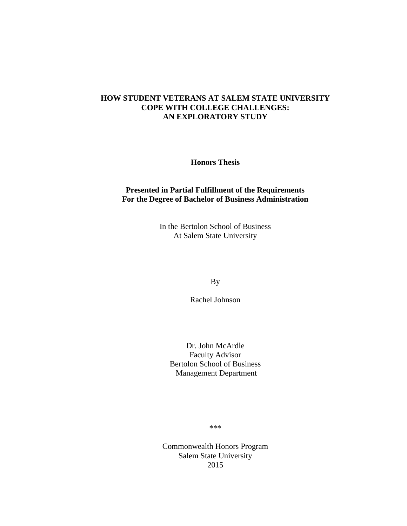# **HOW STUDENT VETERANS AT SALEM STATE UNIVERSITY COPE WITH COLLEGE CHALLENGES: AN EXPLORATORY STUDY**

**Honors Thesis**

# **Presented in Partial Fulfillment of the Requirements For the Degree of Bachelor of Business Administration**

In the Bertolon School of Business At Salem State University

By

Rachel Johnson

Dr. John McArdle Faculty Advisor Bertolon School of Business Management Department

\*\*\*

Commonwealth Honors Program Salem State University 2015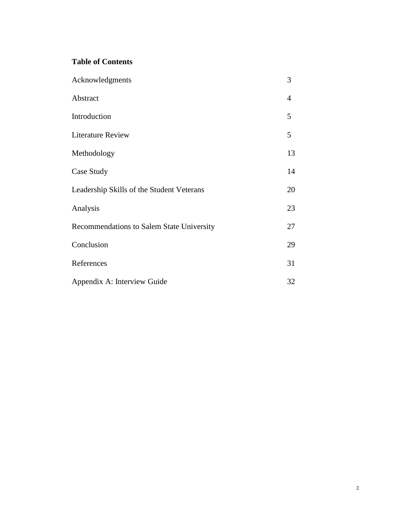# **Table of Contents**

| Acknowledgments                           | 3              |
|-------------------------------------------|----------------|
| Abstract                                  | $\overline{4}$ |
| Introduction                              | 5              |
| <b>Literature Review</b>                  | 5              |
| Methodology                               | 13             |
| Case Study                                | 14             |
| Leadership Skills of the Student Veterans | 20             |
| Analysis                                  | 23             |
| Recommendations to Salem State University | 27             |
| Conclusion                                | 29             |
| References                                | 31             |
| Appendix A: Interview Guide               | 32             |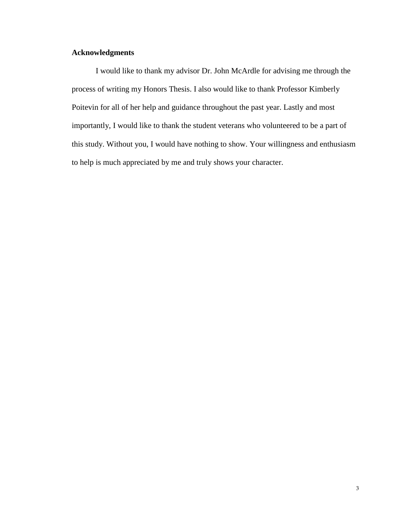# **Acknowledgments**

I would like to thank my advisor Dr. John McArdle for advising me through the process of writing my Honors Thesis. I also would like to thank Professor Kimberly Poitevin for all of her help and guidance throughout the past year. Lastly and most importantly, I would like to thank the student veterans who volunteered to be a part of this study. Without you, I would have nothing to show. Your willingness and enthusiasm to help is much appreciated by me and truly shows your character.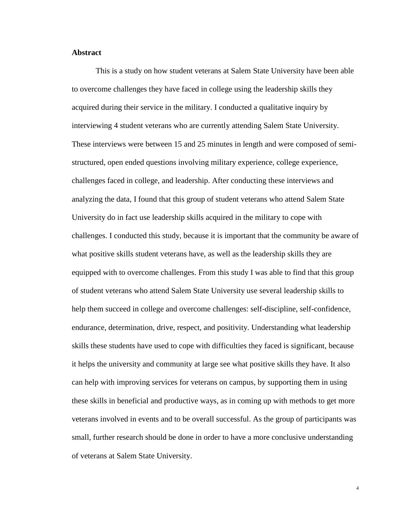# **Abstract**

This is a study on how student veterans at Salem State University have been able to overcome challenges they have faced in college using the leadership skills they acquired during their service in the military. I conducted a qualitative inquiry by interviewing 4 student veterans who are currently attending Salem State University. These interviews were between 15 and 25 minutes in length and were composed of semistructured, open ended questions involving military experience, college experience, challenges faced in college, and leadership. After conducting these interviews and analyzing the data, I found that this group of student veterans who attend Salem State University do in fact use leadership skills acquired in the military to cope with challenges. I conducted this study, because it is important that the community be aware of what positive skills student veterans have, as well as the leadership skills they are equipped with to overcome challenges. From this study I was able to find that this group of student veterans who attend Salem State University use several leadership skills to help them succeed in college and overcome challenges: self-discipline, self-confidence, endurance, determination, drive, respect, and positivity. Understanding what leadership skills these students have used to cope with difficulties they faced is significant, because it helps the university and community at large see what positive skills they have. It also can help with improving services for veterans on campus, by supporting them in using these skills in beneficial and productive ways, as in coming up with methods to get more veterans involved in events and to be overall successful. As the group of participants was small, further research should be done in order to have a more conclusive understanding of veterans at Salem State University.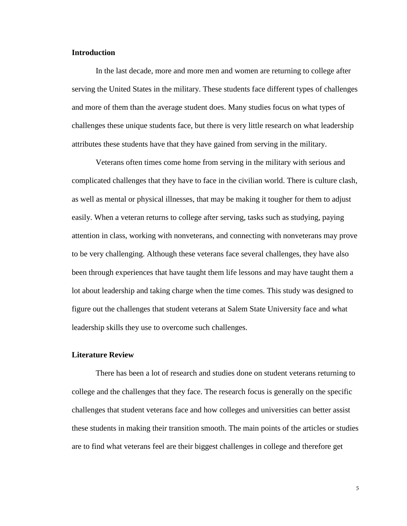# **Introduction**

In the last decade, more and more men and women are returning to college after serving the United States in the military. These students face different types of challenges and more of them than the average student does. Many studies focus on what types of challenges these unique students face, but there is very little research on what leadership attributes these students have that they have gained from serving in the military.

Veterans often times come home from serving in the military with serious and complicated challenges that they have to face in the civilian world. There is culture clash, as well as mental or physical illnesses, that may be making it tougher for them to adjust easily. When a veteran returns to college after serving, tasks such as studying, paying attention in class, working with nonveterans, and connecting with nonveterans may prove to be very challenging. Although these veterans face several challenges, they have also been through experiences that have taught them life lessons and may have taught them a lot about leadership and taking charge when the time comes. This study was designed to figure out the challenges that student veterans at Salem State University face and what leadership skills they use to overcome such challenges.

# **Literature Review**

There has been a lot of research and studies done on student veterans returning to college and the challenges that they face. The research focus is generally on the specific challenges that student veterans face and how colleges and universities can better assist these students in making their transition smooth. The main points of the articles or studies are to find what veterans feel are their biggest challenges in college and therefore get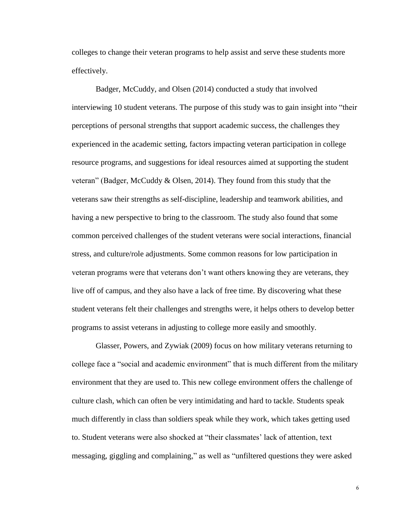colleges to change their veteran programs to help assist and serve these students more effectively.

Badger, McCuddy, and Olsen (2014) conducted a study that involved interviewing 10 student veterans. The purpose of this study was to gain insight into "their perceptions of personal strengths that support academic success, the challenges they experienced in the academic setting, factors impacting veteran participation in college resource programs, and suggestions for ideal resources aimed at supporting the student veteran" (Badger, McCuddy & Olsen, 2014). They found from this study that the veterans saw their strengths as self-discipline, leadership and teamwork abilities, and having a new perspective to bring to the classroom. The study also found that some common perceived challenges of the student veterans were social interactions, financial stress, and culture/role adjustments. Some common reasons for low participation in veteran programs were that veterans don't want others knowing they are veterans, they live off of campus, and they also have a lack of free time. By discovering what these student veterans felt their challenges and strengths were, it helps others to develop better programs to assist veterans in adjusting to college more easily and smoothly.

Glasser, Powers, and Zywiak (2009) focus on how military veterans returning to college face a "social and academic environment" that is much different from the military environment that they are used to. This new college environment offers the challenge of culture clash, which can often be very intimidating and hard to tackle. Students speak much differently in class than soldiers speak while they work, which takes getting used to. Student veterans were also shocked at "their classmates' lack of attention, text messaging, giggling and complaining," as well as "unfiltered questions they were asked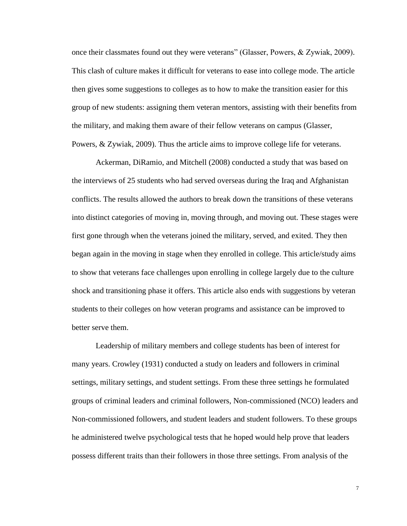once their classmates found out they were veterans" (Glasser, Powers, & Zywiak, 2009). This clash of culture makes it difficult for veterans to ease into college mode. The article then gives some suggestions to colleges as to how to make the transition easier for this group of new students: assigning them veteran mentors, assisting with their benefits from the military, and making them aware of their fellow veterans on campus (Glasser, Powers, & Zywiak, 2009). Thus the article aims to improve college life for veterans.

Ackerman, DiRamio, and Mitchell (2008) conducted a study that was based on the interviews of 25 students who had served overseas during the Iraq and Afghanistan conflicts. The results allowed the authors to break down the transitions of these veterans into distinct categories of moving in, moving through, and moving out. These stages were first gone through when the veterans joined the military, served, and exited. They then began again in the moving in stage when they enrolled in college. This article/study aims to show that veterans face challenges upon enrolling in college largely due to the culture shock and transitioning phase it offers. This article also ends with suggestions by veteran students to their colleges on how veteran programs and assistance can be improved to better serve them.

Leadership of military members and college students has been of interest for many years. Crowley (1931) conducted a study on leaders and followers in criminal settings, military settings, and student settings. From these three settings he formulated groups of criminal leaders and criminal followers, Non-commissioned (NCO) leaders and Non-commissioned followers, and student leaders and student followers. To these groups he administered twelve psychological tests that he hoped would help prove that leaders possess different traits than their followers in those three settings. From analysis of the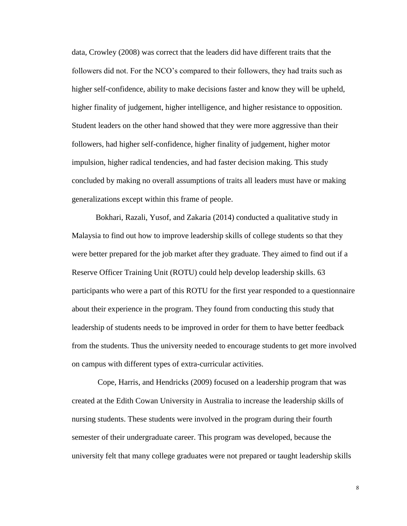data, Crowley (2008) was correct that the leaders did have different traits that the followers did not. For the NCO's compared to their followers, they had traits such as higher self-confidence, ability to make decisions faster and know they will be upheld, higher finality of judgement, higher intelligence, and higher resistance to opposition. Student leaders on the other hand showed that they were more aggressive than their followers, had higher self-confidence, higher finality of judgement, higher motor impulsion, higher radical tendencies, and had faster decision making. This study concluded by making no overall assumptions of traits all leaders must have or making generalizations except within this frame of people.

Bokhari, Razali, Yusof, and Zakaria (2014) conducted a qualitative study in Malaysia to find out how to improve leadership skills of college students so that they were better prepared for the job market after they graduate. They aimed to find out if a Reserve Officer Training Unit (ROTU) could help develop leadership skills. 63 participants who were a part of this ROTU for the first year responded to a questionnaire about their experience in the program. They found from conducting this study that leadership of students needs to be improved in order for them to have better feedback from the students. Thus the university needed to encourage students to get more involved on campus with different types of extra-curricular activities.

Cope, Harris, and Hendricks (2009) focused on a leadership program that was created at the Edith Cowan University in Australia to increase the leadership skills of nursing students. These students were involved in the program during their fourth semester of their undergraduate career. This program was developed, because the university felt that many college graduates were not prepared or taught leadership skills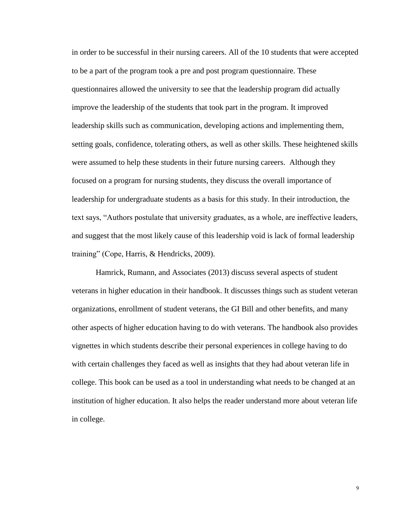in order to be successful in their nursing careers. All of the 10 students that were accepted to be a part of the program took a pre and post program questionnaire. These questionnaires allowed the university to see that the leadership program did actually improve the leadership of the students that took part in the program. It improved leadership skills such as communication, developing actions and implementing them, setting goals, confidence, tolerating others, as well as other skills. These heightened skills were assumed to help these students in their future nursing careers. Although they focused on a program for nursing students, they discuss the overall importance of leadership for undergraduate students as a basis for this study. In their introduction, the text says, "Authors postulate that university graduates, as a whole, are ineffective leaders, and suggest that the most likely cause of this leadership void is lack of formal leadership training" (Cope, Harris, & Hendricks, 2009).

Hamrick, Rumann, and Associates (2013) discuss several aspects of student veterans in higher education in their handbook. It discusses things such as student veteran organizations, enrollment of student veterans, the GI Bill and other benefits, and many other aspects of higher education having to do with veterans. The handbook also provides vignettes in which students describe their personal experiences in college having to do with certain challenges they faced as well as insights that they had about veteran life in college. This book can be used as a tool in understanding what needs to be changed at an institution of higher education. It also helps the reader understand more about veteran life in college.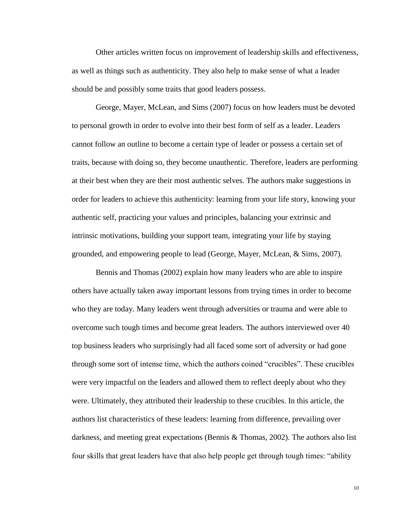Other articles written focus on improvement of leadership skills and effectiveness, as well as things such as authenticity. They also help to make sense of what a leader should be and possibly some traits that good leaders possess.

George, Mayer, McLean, and Sims (2007) focus on how leaders must be devoted to personal growth in order to evolve into their best form of self as a leader. Leaders cannot follow an outline to become a certain type of leader or possess a certain set of traits, because with doing so, they become unauthentic. Therefore, leaders are performing at their best when they are their most authentic selves. The authors make suggestions in order for leaders to achieve this authenticity: learning from your life story, knowing your authentic self, practicing your values and principles, balancing your extrinsic and intrinsic motivations, building your support team, integrating your life by staying grounded, and empowering people to lead (George, Mayer, McLean, & Sims, 2007).

Bennis and Thomas (2002) explain how many leaders who are able to inspire others have actually taken away important lessons from trying times in order to become who they are today. Many leaders went through adversities or trauma and were able to overcome such tough times and become great leaders. The authors interviewed over 40 top business leaders who surprisingly had all faced some sort of adversity or had gone through some sort of intense time, which the authors coined "crucibles". These crucibles were very impactful on the leaders and allowed them to reflect deeply about who they were. Ultimately, they attributed their leadership to these crucibles. In this article, the authors list characteristics of these leaders: learning from difference, prevailing over darkness, and meeting great expectations (Bennis & Thomas, 2002). The authors also list four skills that great leaders have that also help people get through tough times: "ability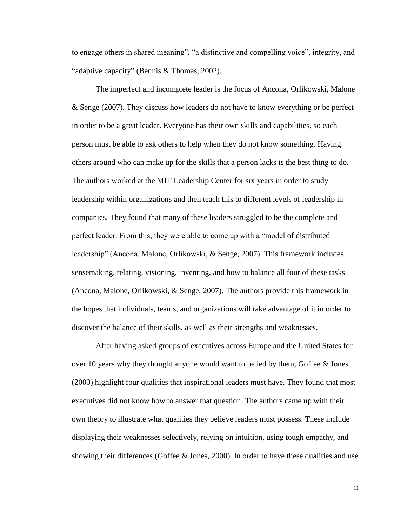to engage others in shared meaning", "a distinctive and compelling voice", integrity, and "adaptive capacity" (Bennis & Thomas, 2002).

The imperfect and incomplete leader is the focus of Ancona, Orlikowski, Malone & Senge (2007). They discuss how leaders do not have to know everything or be perfect in order to be a great leader. Everyone has their own skills and capabilities, so each person must be able to ask others to help when they do not know something. Having others around who can make up for the skills that a person lacks is the best thing to do. The authors worked at the MIT Leadership Center for six years in order to study leadership within organizations and then teach this to different levels of leadership in companies. They found that many of these leaders struggled to be the complete and perfect leader. From this, they were able to come up with a "model of distributed leadership" (Ancona, Malone, Orlikowski, & Senge, 2007). This framework includes sensemaking, relating, visioning, inventing, and how to balance all four of these tasks (Ancona, Malone, Orlikowski, & Senge, 2007). The authors provide this framework in the hopes that individuals, teams, and organizations will take advantage of it in order to discover the balance of their skills, as well as their strengths and weaknesses.

After having asked groups of executives across Europe and the United States for over 10 years why they thought anyone would want to be led by them, Goffee  $\&$  Jones (2000) highlight four qualities that inspirational leaders must have. They found that most executives did not know how to answer that question. The authors came up with their own theory to illustrate what qualities they believe leaders must possess. These include displaying their weaknesses selectively, relying on intuition, using tough empathy, and showing their differences (Goffee  $\&$  Jones, 2000). In order to have these qualities and use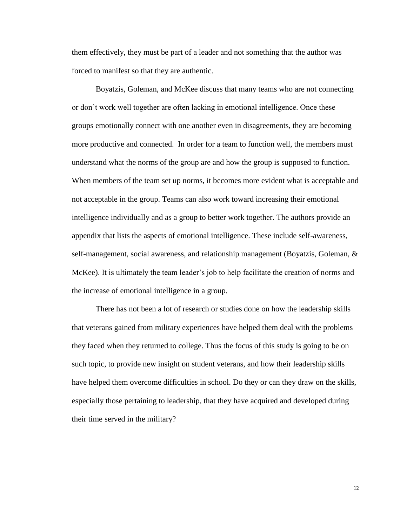them effectively, they must be part of a leader and not something that the author was forced to manifest so that they are authentic.

Boyatzis, Goleman, and McKee discuss that many teams who are not connecting or don't work well together are often lacking in emotional intelligence. Once these groups emotionally connect with one another even in disagreements, they are becoming more productive and connected. In order for a team to function well, the members must understand what the norms of the group are and how the group is supposed to function. When members of the team set up norms, it becomes more evident what is acceptable and not acceptable in the group. Teams can also work toward increasing their emotional intelligence individually and as a group to better work together. The authors provide an appendix that lists the aspects of emotional intelligence. These include self-awareness, self-management, social awareness, and relationship management (Boyatzis, Goleman, & McKee). It is ultimately the team leader's job to help facilitate the creation of norms and the increase of emotional intelligence in a group.

There has not been a lot of research or studies done on how the leadership skills that veterans gained from military experiences have helped them deal with the problems they faced when they returned to college. Thus the focus of this study is going to be on such topic, to provide new insight on student veterans, and how their leadership skills have helped them overcome difficulties in school. Do they or can they draw on the skills, especially those pertaining to leadership, that they have acquired and developed during their time served in the military?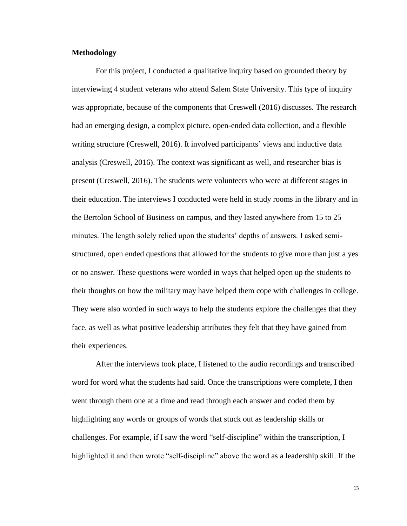# **Methodology**

For this project, I conducted a qualitative inquiry based on grounded theory by interviewing 4 student veterans who attend Salem State University. This type of inquiry was appropriate, because of the components that Creswell (2016) discusses. The research had an emerging design, a complex picture, open-ended data collection, and a flexible writing structure (Creswell, 2016). It involved participants' views and inductive data analysis (Creswell, 2016). The context was significant as well, and researcher bias is present (Creswell, 2016). The students were volunteers who were at different stages in their education. The interviews I conducted were held in study rooms in the library and in the Bertolon School of Business on campus, and they lasted anywhere from 15 to 25 minutes. The length solely relied upon the students' depths of answers. I asked semistructured, open ended questions that allowed for the students to give more than just a yes or no answer. These questions were worded in ways that helped open up the students to their thoughts on how the military may have helped them cope with challenges in college. They were also worded in such ways to help the students explore the challenges that they face, as well as what positive leadership attributes they felt that they have gained from their experiences.

After the interviews took place, I listened to the audio recordings and transcribed word for word what the students had said. Once the transcriptions were complete, I then went through them one at a time and read through each answer and coded them by highlighting any words or groups of words that stuck out as leadership skills or challenges. For example, if I saw the word "self-discipline" within the transcription, I highlighted it and then wrote "self-discipline" above the word as a leadership skill. If the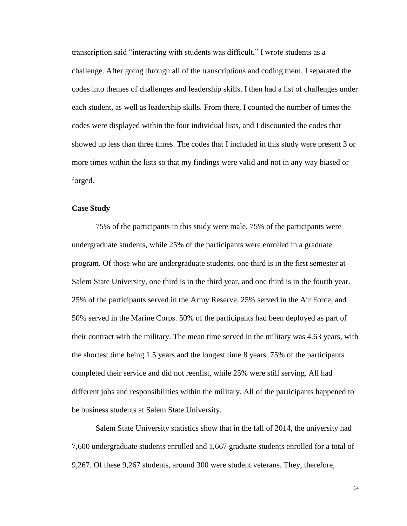transcription said "interacting with students was difficult," I wrote students as a challenge. After going through all of the transcriptions and coding them, I separated the codes into themes of challenges and leadership skills. I then had a list of challenges under each student, as well as leadership skills. From there, I counted the number of times the codes were displayed within the four individual lists, and I discounted the codes that showed up less than three times. The codes that I included in this study were present 3 or more times within the lists so that my findings were valid and not in any way biased or forged.

# **Case Study**

75% of the participants in this study were male. 75% of the participants were undergraduate students, while 25% of the participants were enrolled in a graduate program. Of those who are undergraduate students, one third is in the first semester at Salem State University, one third is in the third year, and one third is in the fourth year. 25% of the participants served in the Army Reserve, 25% served in the Air Force, and 50% served in the Marine Corps. 50% of the participants had been deployed as part of their contract with the military. The mean time served in the military was 4.63 years, with the shortest time being 1.5 years and the longest time 8 years. 75% of the participants completed their service and did not reenlist, while 25% were still serving. All had different jobs and responsibilities within the military. All of the participants happened to be business students at Salem State University.

Salem State University statistics show that in the fall of 2014, the university had 7,600 undergraduate students enrolled and 1,667 graduate students enrolled for a total of 9,267. Of these 9,267 students, around 300 were student veterans. They, therefore,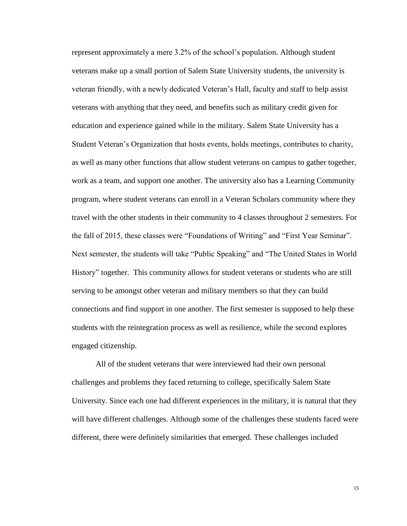represent approximately a mere 3.2% of the school's population. Although student veterans make up a small portion of Salem State University students, the university is veteran friendly, with a newly dedicated Veteran's Hall, faculty and staff to help assist veterans with anything that they need, and benefits such as military credit given for education and experience gained while in the military. Salem State University has a Student Veteran's Organization that hosts events, holds meetings, contributes to charity, as well as many other functions that allow student veterans on campus to gather together, work as a team, and support one another. The university also has a Learning Community program, where student veterans can enroll in a Veteran Scholars community where they travel with the other students in their community to 4 classes throughout 2 semesters. For the fall of 2015, these classes were "Foundations of Writing" and "First Year Seminar". Next semester, the students will take "Public Speaking" and "The United States in World History" together. This community allows for student veterans or students who are still serving to be amongst other veteran and military members so that they can build connections and find support in one another. The first semester is supposed to help these students with the reintegration process as well as resilience, while the second explores engaged citizenship.

All of the student veterans that were interviewed had their own personal challenges and problems they faced returning to college, specifically Salem State University. Since each one had different experiences in the military, it is natural that they will have different challenges. Although some of the challenges these students faced were different, there were definitely similarities that emerged. These challenges included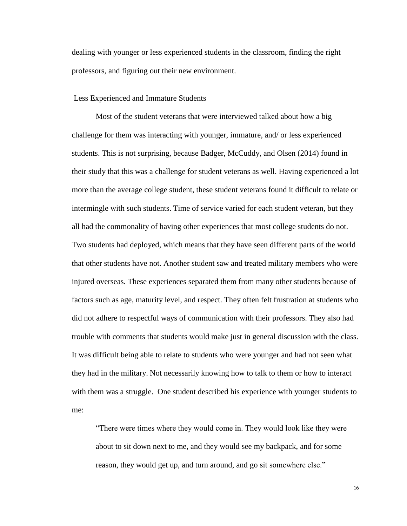dealing with younger or less experienced students in the classroom, finding the right professors, and figuring out their new environment.

### Less Experienced and Immature Students

Most of the student veterans that were interviewed talked about how a big challenge for them was interacting with younger, immature, and/ or less experienced students. This is not surprising, because Badger, McCuddy, and Olsen (2014) found in their study that this was a challenge for student veterans as well. Having experienced a lot more than the average college student, these student veterans found it difficult to relate or intermingle with such students. Time of service varied for each student veteran, but they all had the commonality of having other experiences that most college students do not. Two students had deployed, which means that they have seen different parts of the world that other students have not. Another student saw and treated military members who were injured overseas. These experiences separated them from many other students because of factors such as age, maturity level, and respect. They often felt frustration at students who did not adhere to respectful ways of communication with their professors. They also had trouble with comments that students would make just in general discussion with the class. It was difficult being able to relate to students who were younger and had not seen what they had in the military. Not necessarily knowing how to talk to them or how to interact with them was a struggle. One student described his experience with younger students to me:

"There were times where they would come in. They would look like they were about to sit down next to me, and they would see my backpack, and for some reason, they would get up, and turn around, and go sit somewhere else."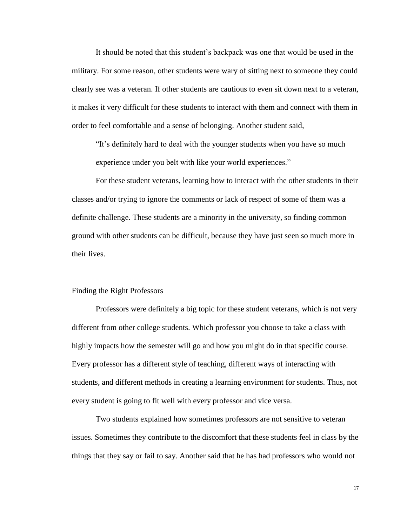It should be noted that this student's backpack was one that would be used in the military. For some reason, other students were wary of sitting next to someone they could clearly see was a veteran. If other students are cautious to even sit down next to a veteran, it makes it very difficult for these students to interact with them and connect with them in order to feel comfortable and a sense of belonging. Another student said,

"It's definitely hard to deal with the younger students when you have so much experience under you belt with like your world experiences."

For these student veterans, learning how to interact with the other students in their classes and/or trying to ignore the comments or lack of respect of some of them was a definite challenge. These students are a minority in the university, so finding common ground with other students can be difficult, because they have just seen so much more in their lives.

#### Finding the Right Professors

Professors were definitely a big topic for these student veterans, which is not very different from other college students. Which professor you choose to take a class with highly impacts how the semester will go and how you might do in that specific course. Every professor has a different style of teaching, different ways of interacting with students, and different methods in creating a learning environment for students. Thus, not every student is going to fit well with every professor and vice versa.

Two students explained how sometimes professors are not sensitive to veteran issues. Sometimes they contribute to the discomfort that these students feel in class by the things that they say or fail to say. Another said that he has had professors who would not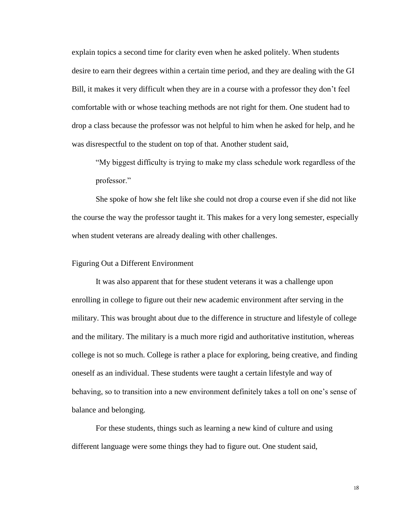explain topics a second time for clarity even when he asked politely. When students desire to earn their degrees within a certain time period, and they are dealing with the GI Bill, it makes it very difficult when they are in a course with a professor they don't feel comfortable with or whose teaching methods are not right for them. One student had to drop a class because the professor was not helpful to him when he asked for help, and he was disrespectful to the student on top of that. Another student said,

"My biggest difficulty is trying to make my class schedule work regardless of the professor."

She spoke of how she felt like she could not drop a course even if she did not like the course the way the professor taught it. This makes for a very long semester, especially when student veterans are already dealing with other challenges.

### Figuring Out a Different Environment

It was also apparent that for these student veterans it was a challenge upon enrolling in college to figure out their new academic environment after serving in the military. This was brought about due to the difference in structure and lifestyle of college and the military. The military is a much more rigid and authoritative institution, whereas college is not so much. College is rather a place for exploring, being creative, and finding oneself as an individual. These students were taught a certain lifestyle and way of behaving, so to transition into a new environment definitely takes a toll on one's sense of balance and belonging.

For these students, things such as learning a new kind of culture and using different language were some things they had to figure out. One student said,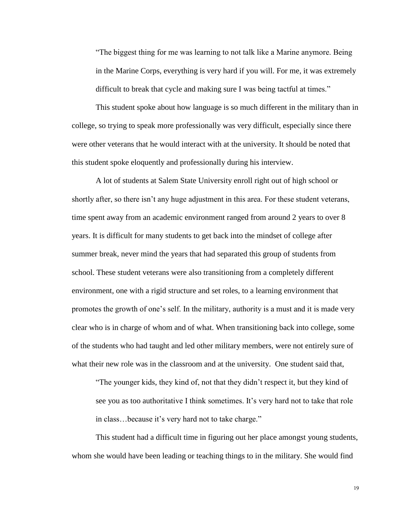"The biggest thing for me was learning to not talk like a Marine anymore. Being in the Marine Corps, everything is very hard if you will. For me, it was extremely difficult to break that cycle and making sure I was being tactful at times."

This student spoke about how language is so much different in the military than in college, so trying to speak more professionally was very difficult, especially since there were other veterans that he would interact with at the university. It should be noted that this student spoke eloquently and professionally during his interview.

A lot of students at Salem State University enroll right out of high school or shortly after, so there isn't any huge adjustment in this area. For these student veterans, time spent away from an academic environment ranged from around 2 years to over 8 years. It is difficult for many students to get back into the mindset of college after summer break, never mind the years that had separated this group of students from school. These student veterans were also transitioning from a completely different environment, one with a rigid structure and set roles, to a learning environment that promotes the growth of one's self. In the military, authority is a must and it is made very clear who is in charge of whom and of what. When transitioning back into college, some of the students who had taught and led other military members, were not entirely sure of what their new role was in the classroom and at the university. One student said that,

"The younger kids, they kind of, not that they didn't respect it, but they kind of see you as too authoritative I think sometimes. It's very hard not to take that role in class…because it's very hard not to take charge."

This student had a difficult time in figuring out her place amongst young students, whom she would have been leading or teaching things to in the military. She would find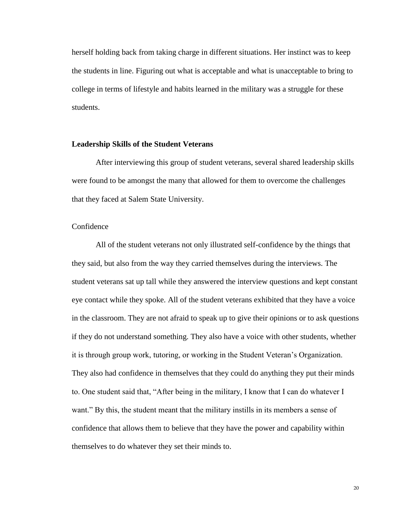herself holding back from taking charge in different situations. Her instinct was to keep the students in line. Figuring out what is acceptable and what is unacceptable to bring to college in terms of lifestyle and habits learned in the military was a struggle for these students.

### **Leadership Skills of the Student Veterans**

After interviewing this group of student veterans, several shared leadership skills were found to be amongst the many that allowed for them to overcome the challenges that they faced at Salem State University.

# Confidence

All of the student veterans not only illustrated self-confidence by the things that they said, but also from the way they carried themselves during the interviews. The student veterans sat up tall while they answered the interview questions and kept constant eye contact while they spoke. All of the student veterans exhibited that they have a voice in the classroom. They are not afraid to speak up to give their opinions or to ask questions if they do not understand something. They also have a voice with other students, whether it is through group work, tutoring, or working in the Student Veteran's Organization. They also had confidence in themselves that they could do anything they put their minds to. One student said that, "After being in the military, I know that I can do whatever I want." By this, the student meant that the military instills in its members a sense of confidence that allows them to believe that they have the power and capability within themselves to do whatever they set their minds to.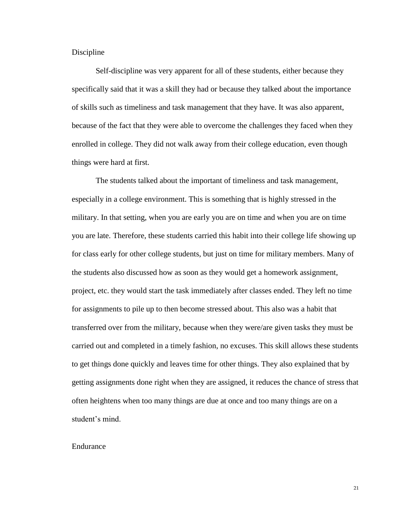# Discipline

Self-discipline was very apparent for all of these students, either because they specifically said that it was a skill they had or because they talked about the importance of skills such as timeliness and task management that they have. It was also apparent, because of the fact that they were able to overcome the challenges they faced when they enrolled in college. They did not walk away from their college education, even though things were hard at first.

The students talked about the important of timeliness and task management, especially in a college environment. This is something that is highly stressed in the military. In that setting, when you are early you are on time and when you are on time you are late. Therefore, these students carried this habit into their college life showing up for class early for other college students, but just on time for military members. Many of the students also discussed how as soon as they would get a homework assignment, project, etc. they would start the task immediately after classes ended. They left no time for assignments to pile up to then become stressed about. This also was a habit that transferred over from the military, because when they were/are given tasks they must be carried out and completed in a timely fashion, no excuses. This skill allows these students to get things done quickly and leaves time for other things. They also explained that by getting assignments done right when they are assigned, it reduces the chance of stress that often heightens when too many things are due at once and too many things are on a student's mind.

#### Endurance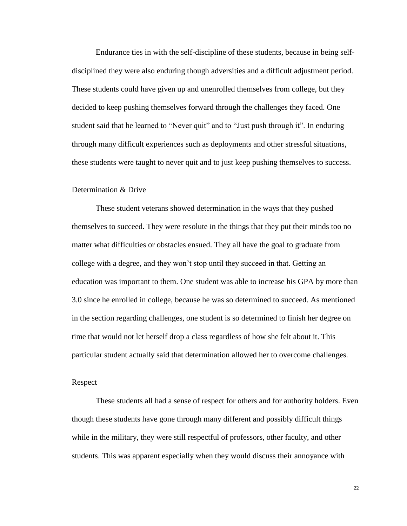Endurance ties in with the self-discipline of these students, because in being selfdisciplined they were also enduring though adversities and a difficult adjustment period. These students could have given up and unenrolled themselves from college, but they decided to keep pushing themselves forward through the challenges they faced. One student said that he learned to "Never quit" and to "Just push through it". In enduring through many difficult experiences such as deployments and other stressful situations, these students were taught to never quit and to just keep pushing themselves to success.

### Determination & Drive

These student veterans showed determination in the ways that they pushed themselves to succeed. They were resolute in the things that they put their minds too no matter what difficulties or obstacles ensued. They all have the goal to graduate from college with a degree, and they won't stop until they succeed in that. Getting an education was important to them. One student was able to increase his GPA by more than 3.0 since he enrolled in college, because he was so determined to succeed. As mentioned in the section regarding challenges, one student is so determined to finish her degree on time that would not let herself drop a class regardless of how she felt about it. This particular student actually said that determination allowed her to overcome challenges.

# Respect

These students all had a sense of respect for others and for authority holders. Even though these students have gone through many different and possibly difficult things while in the military, they were still respectful of professors, other faculty, and other students. This was apparent especially when they would discuss their annoyance with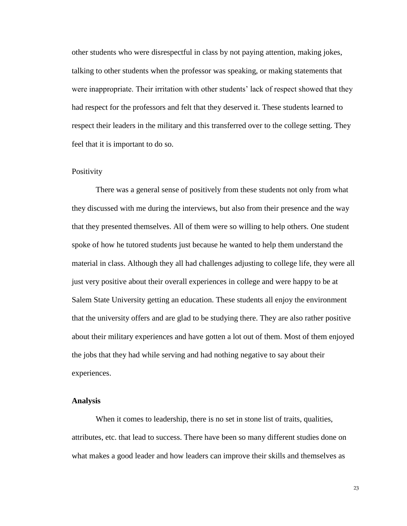other students who were disrespectful in class by not paying attention, making jokes, talking to other students when the professor was speaking, or making statements that were inappropriate. Their irritation with other students' lack of respect showed that they had respect for the professors and felt that they deserved it. These students learned to respect their leaders in the military and this transferred over to the college setting. They feel that it is important to do so.

# **Positivity**

There was a general sense of positively from these students not only from what they discussed with me during the interviews, but also from their presence and the way that they presented themselves. All of them were so willing to help others. One student spoke of how he tutored students just because he wanted to help them understand the material in class. Although they all had challenges adjusting to college life, they were all just very positive about their overall experiences in college and were happy to be at Salem State University getting an education. These students all enjoy the environment that the university offers and are glad to be studying there. They are also rather positive about their military experiences and have gotten a lot out of them. Most of them enjoyed the jobs that they had while serving and had nothing negative to say about their experiences.

#### **Analysis**

When it comes to leadership, there is no set in stone list of traits, qualities, attributes, etc. that lead to success. There have been so many different studies done on what makes a good leader and how leaders can improve their skills and themselves as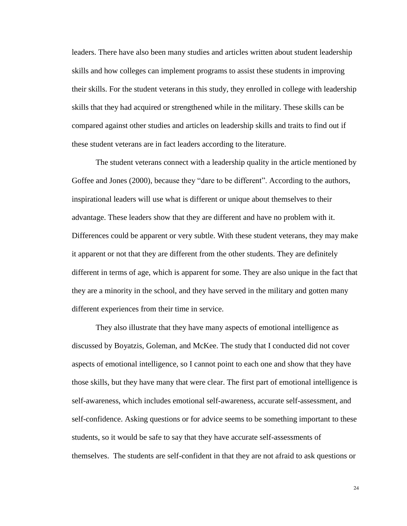leaders. There have also been many studies and articles written about student leadership skills and how colleges can implement programs to assist these students in improving their skills. For the student veterans in this study, they enrolled in college with leadership skills that they had acquired or strengthened while in the military. These skills can be compared against other studies and articles on leadership skills and traits to find out if these student veterans are in fact leaders according to the literature.

The student veterans connect with a leadership quality in the article mentioned by Goffee and Jones (2000), because they "dare to be different". According to the authors, inspirational leaders will use what is different or unique about themselves to their advantage. These leaders show that they are different and have no problem with it. Differences could be apparent or very subtle. With these student veterans, they may make it apparent or not that they are different from the other students. They are definitely different in terms of age, which is apparent for some. They are also unique in the fact that they are a minority in the school, and they have served in the military and gotten many different experiences from their time in service.

They also illustrate that they have many aspects of emotional intelligence as discussed by Boyatzis, Goleman, and McKee. The study that I conducted did not cover aspects of emotional intelligence, so I cannot point to each one and show that they have those skills, but they have many that were clear. The first part of emotional intelligence is self-awareness, which includes emotional self-awareness, accurate self-assessment, and self-confidence. Asking questions or for advice seems to be something important to these students, so it would be safe to say that they have accurate self-assessments of themselves. The students are self-confident in that they are not afraid to ask questions or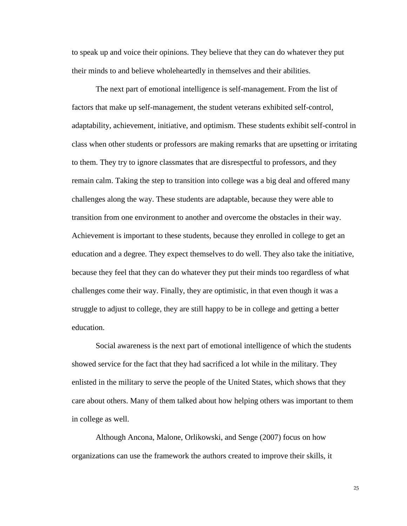to speak up and voice their opinions. They believe that they can do whatever they put their minds to and believe wholeheartedly in themselves and their abilities.

The next part of emotional intelligence is self-management. From the list of factors that make up self-management, the student veterans exhibited self-control, adaptability, achievement, initiative, and optimism. These students exhibit self-control in class when other students or professors are making remarks that are upsetting or irritating to them. They try to ignore classmates that are disrespectful to professors, and they remain calm. Taking the step to transition into college was a big deal and offered many challenges along the way. These students are adaptable, because they were able to transition from one environment to another and overcome the obstacles in their way. Achievement is important to these students, because they enrolled in college to get an education and a degree. They expect themselves to do well. They also take the initiative, because they feel that they can do whatever they put their minds too regardless of what challenges come their way. Finally, they are optimistic, in that even though it was a struggle to adjust to college, they are still happy to be in college and getting a better education.

Social awareness is the next part of emotional intelligence of which the students showed service for the fact that they had sacrificed a lot while in the military. They enlisted in the military to serve the people of the United States, which shows that they care about others. Many of them talked about how helping others was important to them in college as well.

Although Ancona, Malone, Orlikowski, and Senge (2007) focus on how organizations can use the framework the authors created to improve their skills, it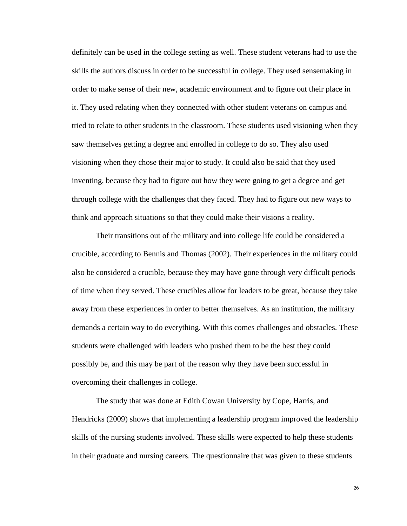definitely can be used in the college setting as well. These student veterans had to use the skills the authors discuss in order to be successful in college. They used sensemaking in order to make sense of their new, academic environment and to figure out their place in it. They used relating when they connected with other student veterans on campus and tried to relate to other students in the classroom. These students used visioning when they saw themselves getting a degree and enrolled in college to do so. They also used visioning when they chose their major to study. It could also be said that they used inventing, because they had to figure out how they were going to get a degree and get through college with the challenges that they faced. They had to figure out new ways to think and approach situations so that they could make their visions a reality.

Their transitions out of the military and into college life could be considered a crucible, according to Bennis and Thomas (2002). Their experiences in the military could also be considered a crucible, because they may have gone through very difficult periods of time when they served. These crucibles allow for leaders to be great, because they take away from these experiences in order to better themselves. As an institution, the military demands a certain way to do everything. With this comes challenges and obstacles. These students were challenged with leaders who pushed them to be the best they could possibly be, and this may be part of the reason why they have been successful in overcoming their challenges in college.

The study that was done at Edith Cowan University by Cope, Harris, and Hendricks (2009) shows that implementing a leadership program improved the leadership skills of the nursing students involved. These skills were expected to help these students in their graduate and nursing careers. The questionnaire that was given to these students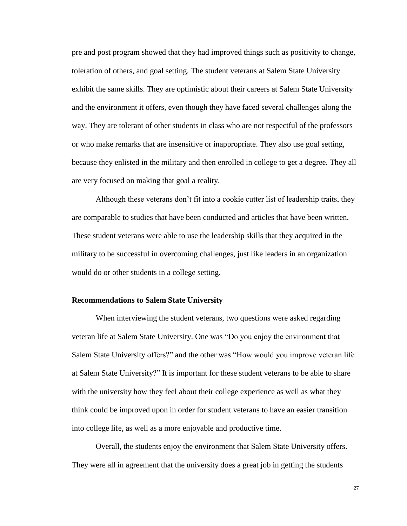pre and post program showed that they had improved things such as positivity to change, toleration of others, and goal setting. The student veterans at Salem State University exhibit the same skills. They are optimistic about their careers at Salem State University and the environment it offers, even though they have faced several challenges along the way. They are tolerant of other students in class who are not respectful of the professors or who make remarks that are insensitive or inappropriate. They also use goal setting, because they enlisted in the military and then enrolled in college to get a degree. They all are very focused on making that goal a reality.

Although these veterans don't fit into a cookie cutter list of leadership traits, they are comparable to studies that have been conducted and articles that have been written. These student veterans were able to use the leadership skills that they acquired in the military to be successful in overcoming challenges, just like leaders in an organization would do or other students in a college setting.

# **Recommendations to Salem State University**

When interviewing the student veterans, two questions were asked regarding veteran life at Salem State University. One was "Do you enjoy the environment that Salem State University offers?" and the other was "How would you improve veteran life at Salem State University?" It is important for these student veterans to be able to share with the university how they feel about their college experience as well as what they think could be improved upon in order for student veterans to have an easier transition into college life, as well as a more enjoyable and productive time.

Overall, the students enjoy the environment that Salem State University offers. They were all in agreement that the university does a great job in getting the students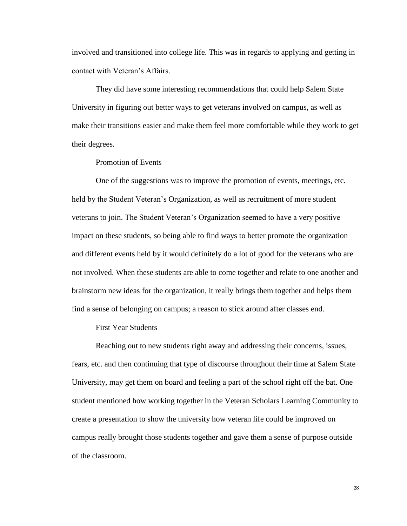involved and transitioned into college life. This was in regards to applying and getting in contact with Veteran's Affairs.

They did have some interesting recommendations that could help Salem State University in figuring out better ways to get veterans involved on campus, as well as make their transitions easier and make them feel more comfortable while they work to get their degrees.

Promotion of Events

One of the suggestions was to improve the promotion of events, meetings, etc. held by the Student Veteran's Organization, as well as recruitment of more student veterans to join. The Student Veteran's Organization seemed to have a very positive impact on these students, so being able to find ways to better promote the organization and different events held by it would definitely do a lot of good for the veterans who are not involved. When these students are able to come together and relate to one another and brainstorm new ideas for the organization, it really brings them together and helps them find a sense of belonging on campus; a reason to stick around after classes end.

First Year Students

Reaching out to new students right away and addressing their concerns, issues, fears, etc. and then continuing that type of discourse throughout their time at Salem State University, may get them on board and feeling a part of the school right off the bat. One student mentioned how working together in the Veteran Scholars Learning Community to create a presentation to show the university how veteran life could be improved on campus really brought those students together and gave them a sense of purpose outside of the classroom.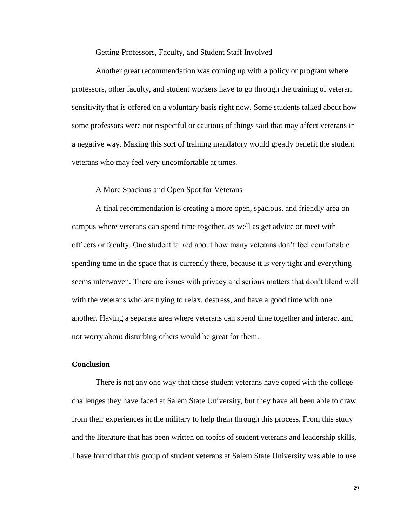Getting Professors, Faculty, and Student Staff Involved

Another great recommendation was coming up with a policy or program where professors, other faculty, and student workers have to go through the training of veteran sensitivity that is offered on a voluntary basis right now. Some students talked about how some professors were not respectful or cautious of things said that may affect veterans in a negative way. Making this sort of training mandatory would greatly benefit the student veterans who may feel very uncomfortable at times.

# A More Spacious and Open Spot for Veterans

A final recommendation is creating a more open, spacious, and friendly area on campus where veterans can spend time together, as well as get advice or meet with officers or faculty. One student talked about how many veterans don't feel comfortable spending time in the space that is currently there, because it is very tight and everything seems interwoven. There are issues with privacy and serious matters that don't blend well with the veterans who are trying to relax, destress, and have a good time with one another. Having a separate area where veterans can spend time together and interact and not worry about disturbing others would be great for them.

# **Conclusion**

There is not any one way that these student veterans have coped with the college challenges they have faced at Salem State University, but they have all been able to draw from their experiences in the military to help them through this process. From this study and the literature that has been written on topics of student veterans and leadership skills, I have found that this group of student veterans at Salem State University was able to use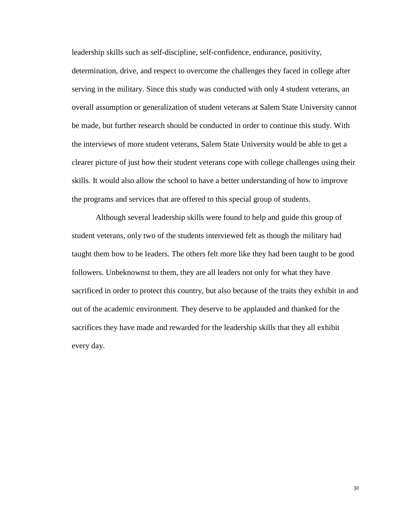leadership skills such as self-discipline, self-confidence, endurance, positivity, determination, drive, and respect to overcome the challenges they faced in college after serving in the military. Since this study was conducted with only 4 student veterans, an overall assumption or generalization of student veterans at Salem State University cannot be made, but further research should be conducted in order to continue this study. With the interviews of more student veterans, Salem State University would be able to get a clearer picture of just how their student veterans cope with college challenges using their skills. It would also allow the school to have a better understanding of how to improve the programs and services that are offered to this special group of students.

Although several leadership skills were found to help and guide this group of student veterans, only two of the students interviewed felt as though the military had taught them how to be leaders. The others felt more like they had been taught to be good followers. Unbeknownst to them, they are all leaders not only for what they have sacrificed in order to protect this country, but also because of the traits they exhibit in and out of the academic environment. They deserve to be applauded and thanked for the sacrifices they have made and rewarded for the leadership skills that they all exhibit every day.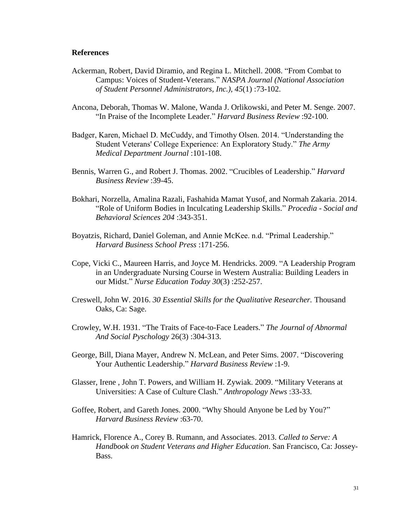#### **References**

- Ackerman, Robert, David Diramio, and Regina L. Mitchell. 2008. "From Combat to Campus: Voices of Student-Veterans." *NASPA Journal (National Association of Student Personnel Administrators, Inc.), 45*(1) :73-102.
- Ancona, Deborah, Thomas W. Malone, Wanda J. Orlikowski, and Peter M. Senge. 2007. "In Praise of the Incomplete Leader." *Harvard Business Review* :92-100.
- Badger, Karen, Michael D. McCuddy, and Timothy Olsen. 2014. "Understanding the Student Veterans' College Experience: An Exploratory Study." *The Army Medical Department Journal* :101-108.
- Bennis, Warren G., and Robert J. Thomas. 2002. "Crucibles of Leadership." *Harvard Business Review* :39-45.
- Bokhari, Norzella, Amalina Razali, Fashahida Mamat Yusof, and Normah Zakaria. 2014. "Role of Uniform Bodies in Inculcating Leadership Skills." *Procedia - Social and Behavioral Sciences 204* :343-351.
- Boyatzis, Richard, Daniel Goleman, and Annie McKee. n.d. "Primal Leadership." *Harvard Business School Press* :171-256.
- Cope, Vicki C., Maureen Harris, and Joyce M. Hendricks. 2009. "A Leadership Program in an Undergraduate Nursing Course in Western Australia: Building Leaders in our Midst." *Nurse Education Today 30*(3) :252-257.
- Creswell, John W. 2016. *30 Essential Skills for the Qualitative Researcher.* Thousand Oaks, Ca: Sage.
- Crowley, W.H. 1931. "The Traits of Face-to-Face Leaders." *The Journal of Abnormal And Social Pyschology* 26(3) :304-313.
- George, Bill, Diana Mayer, Andrew N. McLean, and Peter Sims. 2007. "Discovering Your Authentic Leadership." *Harvard Business Review* :1-9.
- Glasser, Irene , John T. Powers, and William H. Zywiak. 2009. "Military Veterans at Universities: A Case of Culture Clash." *Anthropology News* :33-33.
- Goffee, Robert, and Gareth Jones. 2000. "Why Should Anyone be Led by You?" *Harvard Business Review* :63-70.
- Hamrick, Florence A., Corey B. Rumann, and Associates. 2013. *Called to Serve: A Handbook on Student Veterans and Higher Education*. San Francisco, Ca: Jossey-Bass.